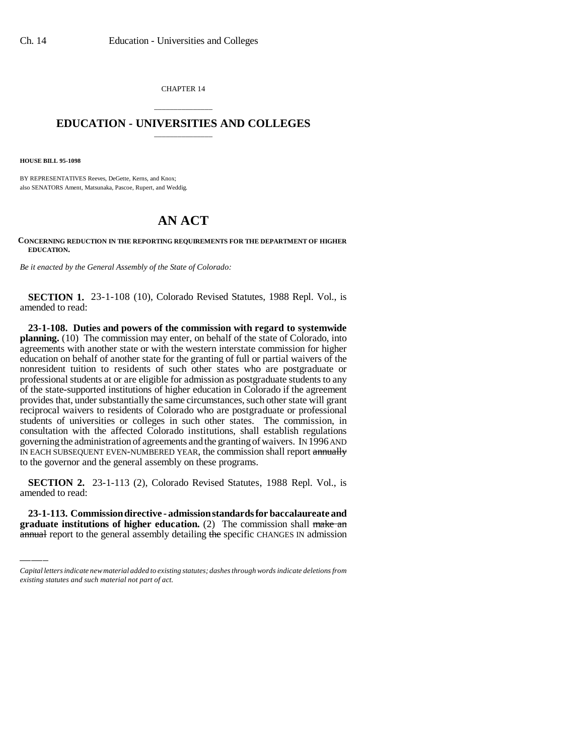CHAPTER 14

## \_\_\_\_\_\_\_\_\_\_\_\_\_\_\_ **EDUCATION - UNIVERSITIES AND COLLEGES** \_\_\_\_\_\_\_\_\_\_\_\_\_\_\_

**HOUSE BILL 95-1098**

BY REPRESENTATIVES Reeves, DeGette, Kerns, and Knox; also SENATORS Ament, Matsunaka, Pascoe, Rupert, and Weddig.

## **AN ACT**

## **CONCERNING REDUCTION IN THE REPORTING REQUIREMENTS FOR THE DEPARTMENT OF HIGHER EDUCATION.**

*Be it enacted by the General Assembly of the State of Colorado:*

**SECTION 1.** 23-1-108 (10), Colorado Revised Statutes, 1988 Repl. Vol., is amended to read:

**23-1-108. Duties and powers of the commission with regard to systemwide planning.** (10) The commission may enter, on behalf of the state of Colorado, into agreements with another state or with the western interstate commission for higher education on behalf of another state for the granting of full or partial waivers of the nonresident tuition to residents of such other states who are postgraduate or professional students at or are eligible for admission as postgraduate students to any of the state-supported institutions of higher education in Colorado if the agreement provides that, under substantially the same circumstances, such other state will grant reciprocal waivers to residents of Colorado who are postgraduate or professional students of universities or colleges in such other states. The commission, in consultation with the affected Colorado institutions, shall establish regulations governing the administration of agreements and the granting of waivers. IN 1996 AND IN EACH SUBSEQUENT EVEN-NUMBERED YEAR, the commission shall report annually to the governor and the general assembly on these programs.

section 2.<br>amended to read: **SECTION 2.** 23-1-113 (2), Colorado Revised Statutes, 1988 Repl. Vol., is

**23-1-113. Commission directive - admission standards for baccalaureate and graduate institutions of higher education.** (2) The commission shall make an annual report to the general assembly detailing the specific CHANGES IN admission

*Capital letters indicate new material added to existing statutes; dashes through words indicate deletions from existing statutes and such material not part of act.*